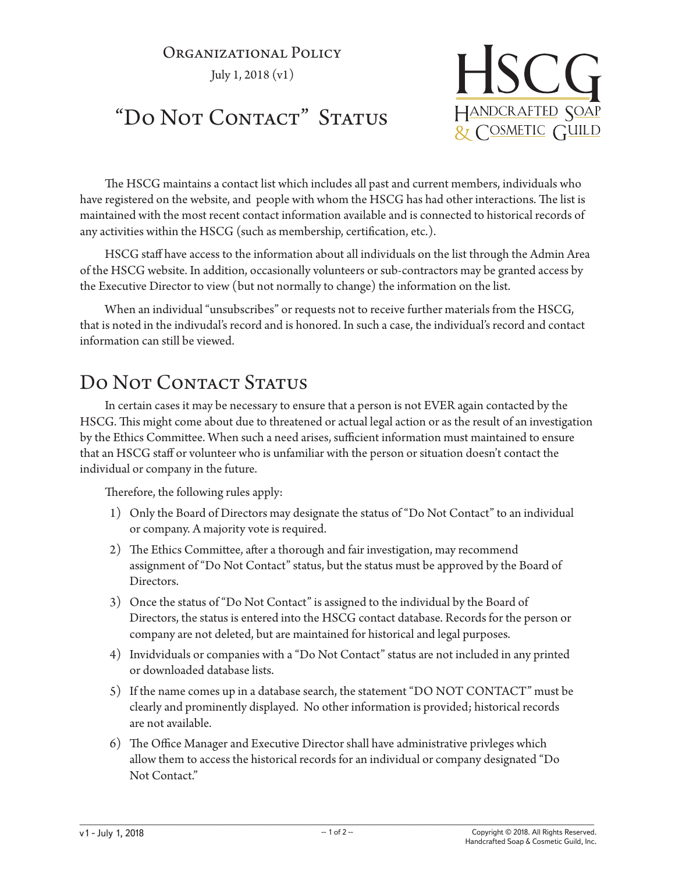# Organizational Policy

July 1, 2018 (v1)



## "Do Not Contact" Status

The HSCG maintains a contact list which includes all past and current members, individuals who have registered on the website, and people with whom the HSCG has had other interactions. The list is maintained with the most recent contact information available and is connected to historical records of any activities within the HSCG (such as membership, certification, etc.).

HSCG staff have access to the information about all individuals on the list through the Admin Area of the HSCG website. In addition, occasionally volunteers or sub-contractors may be granted access by the Executive Director to view (but not normally to change) the information on the list.

When an individual "unsubscribes" or requests not to receive further materials from the HSCG, that is noted in the indivudal's record and is honored. In such a case, the individual's record and contact information can still be viewed.

### DO NOT CONTACT STATUS

In certain cases it may be necessary to ensure that a person is not EVER again contacted by the HSCG. This might come about due to threatened or actual legal action or as the result of an investigation by the Ethics Committee. When such a need arises, sufficient information must maintained to ensure that an HSCG staff or volunteer who is unfamiliar with the person or situation doesn't contact the individual or company in the future.

Therefore, the following rules apply:

- 1) Only the Board of Directors may designate the status of "Do Not Contact" to an individual or company. A majority vote is required.
- 2) The Ethics Committee, after a thorough and fair investigation, may recommend assignment of "Do Not Contact" status, but the status must be approved by the Board of Directors.
- 3) Once the status of "Do Not Contact" is assigned to the individual by the Board of Directors, the status is entered into the HSCG contact database. Records for the person or company are not deleted, but are maintained for historical and legal purposes.
- 4) Invidviduals or companies with a "Do Not Contact" status are not included in any printed or downloaded database lists.
- 5) If the name comes up in a database search, the statement "DO NOT CONTACT" must be clearly and prominently displayed. No other information is provided; historical records are not available.
- 6) The Office Manager and Executive Director shall have administrative privleges which allow them to access the historical records for an individual or company designated "Do Not Contact."